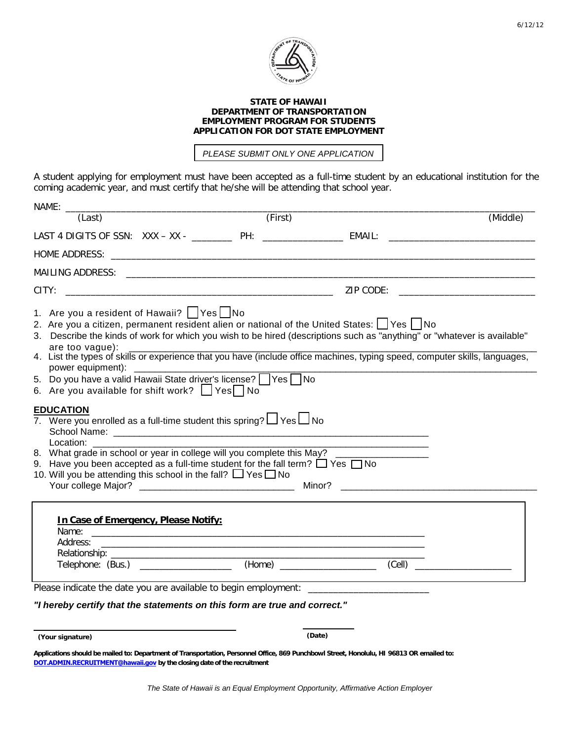

## **STATE OF HAWAII DEPARTMENT OF TRANSPORTATION EMPLOYMENT PROGRAM FOR STUDENTS APPLICATION FOR DOT STATE EMPLOYMENT**

*PLEASE SUBMIT ONLY ONE APPLICATION*

A student applying for employment must have been accepted as a full-time student by an educational institution for the coming academic year, and must certify that he/she will be attending that school year.

| (Last)                                                                                                                                                                                                                                                                                                                                                                                                                                                                                                                                                                                                                                                                                                                                                                                                                                                                                                                            | (First) |                                                                                                                | (Middle) |
|-----------------------------------------------------------------------------------------------------------------------------------------------------------------------------------------------------------------------------------------------------------------------------------------------------------------------------------------------------------------------------------------------------------------------------------------------------------------------------------------------------------------------------------------------------------------------------------------------------------------------------------------------------------------------------------------------------------------------------------------------------------------------------------------------------------------------------------------------------------------------------------------------------------------------------------|---------|----------------------------------------------------------------------------------------------------------------|----------|
|                                                                                                                                                                                                                                                                                                                                                                                                                                                                                                                                                                                                                                                                                                                                                                                                                                                                                                                                   |         |                                                                                                                |          |
|                                                                                                                                                                                                                                                                                                                                                                                                                                                                                                                                                                                                                                                                                                                                                                                                                                                                                                                                   |         |                                                                                                                |          |
|                                                                                                                                                                                                                                                                                                                                                                                                                                                                                                                                                                                                                                                                                                                                                                                                                                                                                                                                   |         |                                                                                                                |          |
|                                                                                                                                                                                                                                                                                                                                                                                                                                                                                                                                                                                                                                                                                                                                                                                                                                                                                                                                   |         |                                                                                                                |          |
| 1. Are you a resident of Hawaii?   Yes   No<br>2. Are you a citizen, permanent resident alien or national of the United States: 1 Yes   No<br>3. Describe the kinds of work for which you wish to be hired (descriptions such as "anything" or "whatever is available"<br>are too vague):<br>are too vague):<br>4. List the types of skills or experience that you have (include office machines, typing speed, computer skills, languages,<br>5. Do you have a valid Hawaii State driver's license? Ves No<br>6. Are you available for shift work?   Yes   No<br><b>EDUCATION</b><br>7. Were you enrolled as a full-time student this spring? $\Box$ Yes $\Box$ No<br>Location:<br>8. What grade in school or year in college will you complete this May?<br>9. Have you been accepted as a full-time student for the fall term? $\Box$ Yes $\Box$ No<br>10. Will you be attending this school in the fall? $\Box$ Yes $\Box$ No |         | Minor? All the contract of the contract of the contract of the contract of the contract of the contract of the |          |
| In Case of Emergency, Please Notify:<br>Address:<br><u> 1989 - Jan Barbara, martin da kasar Indonesia. Indonesia da kasar Indonesia da kasar Indonesia. Indonesia da</u><br>Telephone: (Bus.) ____________________<br>Please indicate the date you are available to begin employment: _________________<br>"I hereby certify that the statements on this form are true and correct."                                                                                                                                                                                                                                                                                                                                                                                                                                                                                                                                              |         | <u> 1989 - Johann Barn, amerikansk politiker (</u> † 1908)                                                     |          |
| (Your signature)                                                                                                                                                                                                                                                                                                                                                                                                                                                                                                                                                                                                                                                                                                                                                                                                                                                                                                                  |         | (Date)                                                                                                         |          |

**Applications should be mailed to: Department of Transportation, Personnel Office, 869 Punchbowl Street, Honolulu, HI 96813 OR emailed to: [DOT.ADMIN.RECRUITMENT@hawaii.gov](mailto:rey.domingo@hawaii.gov) by the closing date of the recruitment**